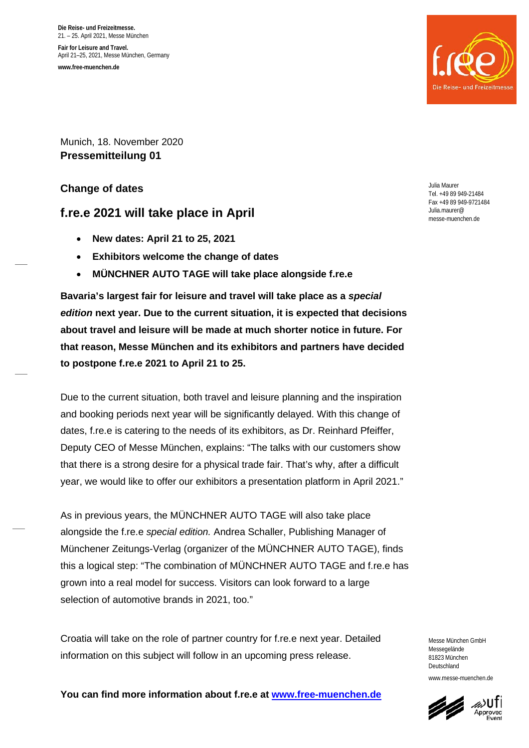**Die Reise- und Freizeitmesse.** 21. – 25. April 2021, Messe München **Fair for Leisure and Travel.** April 21–25, 2021, Messe München, Germany **www.free-muenchen.de**



Munich, 18. November 2020 **Pressemitteilung 01**

**Change of dates** 

## **f.re.e 2021 will take place in April**

- **New dates: April 21 to 25, 2021**
- **Exhibitors welcome the change of dates**
- **MÜNCHNER AUTO TAGE will take place alongside f.re.e**

**Bavaria's largest fair for leisure and travel will take place as a** *special edition* **next year. Due to the current situation, it is expected that decisions about travel and leisure will be made at much shorter notice in future. For that reason, Messe München and its exhibitors and partners have decided to postpone f.re.e 2021 to April 21 to 25.** 

Due to the current situation, both travel and leisure planning and the inspiration and booking periods next year will be significantly delayed. With this change of dates, f.re.e is catering to the needs of its exhibitors, as Dr. Reinhard Pfeiffer, Deputy CEO of Messe München, explains: "The talks with our customers show that there is a strong desire for a physical trade fair. That's why, after a difficult year, we would like to offer our exhibitors a presentation platform in April 2021."

As in previous years, the MÜNCHNER AUTO TAGE will also take place alongside the f.re.e *special edition.* Andrea Schaller, Publishing Manager of Münchener Zeitungs-Verlag (organizer of the MÜNCHNER AUTO TAGE), finds this a logical step: "The combination of MÜNCHNER AUTO TAGE and f.re.e has grown into a real model for success. Visitors can look forward to a large selection of automotive brands in 2021, too."

Croatia will take on the role of partner country for f.re.e next year. Detailed information on this subject will follow in an upcoming press release.

Julia Maurer Tel. +49 89 949-21484 Fax +49 89 949-9721484 Julia.maurer@ messe-muenchen.de

Messe München GmbH Messegelände 81823 München Deutschland www.messe-muenchen.de

**You can find more information about f.re.e at [www.free-muenchen.de](http://www.free-muenchen.de/)**